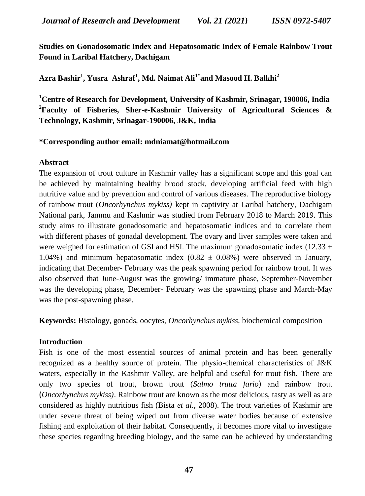**Studies on Gonadosomatic Index and Hepatosomatic Index of Female Rainbow Trout Found in Laribal Hatchery, Dachigam**

**Azra Bashir<sup>1</sup> , Yusra Ashraf<sup>1</sup> , Md. Naimat Ali1\*and Masood H. Balkhi<sup>2</sup>**

**<sup>1</sup>Centre of Research for Development, University of Kashmir, Srinagar, 190006, India <sup>2</sup>Faculty of Fisheries, Sher-e-Kashmir University of Agricultural Sciences & Technology, Kashmir, Srinagar-190006, J&K, India**

## **\*Corresponding author email: [mdniamat@hotmail.com](file:///C:/Users/user/Downloads/mdniamat@hotmail.com)**

#### **Abstract**

The expansion of trout culture in Kashmir valley has a significant scope and this goal can be achieved by maintaining healthy brood stock, developing artificial feed with high nutritive value and by prevention and control of various diseases. The reproductive biology of rainbow trout (*Oncorhynchus mykiss)* kept in captivity at Laribal hatchery, Dachigam National park, Jammu and Kashmir was studied from February 2018 to March 2019. This study aims to illustrate gonadosomatic and hepatosomatic indices and to correlate them with different phases of gonadal development. The ovary and liver samples were taken and were weighed for estimation of GSI and HSI. The maximum gonadosomatic index (12.33  $\pm$ 1.04%) and minimum hepatosomatic index  $(0.82 \pm 0.08%)$  were observed in January, indicating that December- February was the peak spawning period for rainbow trout. It was also observed that June-August was the growing/ immature phase, September-November was the developing phase, December- February was the spawning phase and March-May was the post-spawning phase.

**Keywords:** Histology, gonads, oocytes, *Oncorhynchus mykiss,* biochemical composition

## **Introduction**

Fish is one of the most essential sources of animal protein and has been generally recognized as a healthy source of protein. The physio-chemical characteristics of J&K waters, especially in the Kashmir Valley, are helpful and useful for trout fish. There are only two species of trout, brown trout (*Salmo trutta fario*) and rainbow trout ﴾*Oncorhynchus mykiss)*. Rainbow trout are known as the most delicious, tasty as well as are considered as highly nutritious fish (Bista *et al.,* 2008). The trout varieties of Kashmir are under severe threat of being wiped out from diverse water bodies because of extensive fishing and exploitation of their habitat. Consequently, it becomes more vital to investigate these species regarding breeding biology, and the same can be achieved by understanding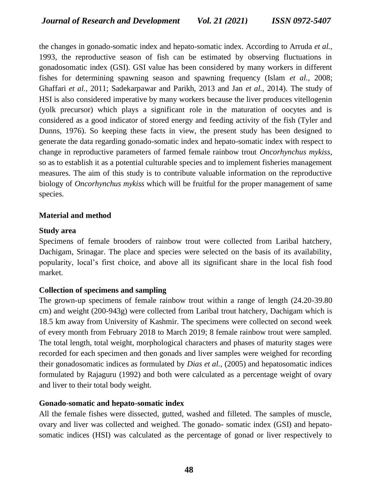the changes in gonado-somatic index and hepato-somatic index. According to Arruda *et al.,*  1993, the reproductive season of fish can be estimated by observing fluctuations in gonadosomatic index (GSI). GSI value has been considered by many workers in different fishes for determining spawning season and spawning frequency (Islam *et al.,* 2008; Ghaffari *et al.,* 2011; Sadekarpawar and Parikh, 2013 and Jan *et al.,* 2014). The study of HSI is also considered imperative by many workers because the liver produces vitellogenin (yolk precursor) which plays a significant role in the maturation of oocytes and is considered as a good indicator of stored energy and feeding activity of the fish (Tyler and Dunns, 1976). So keeping these facts in view, the present study has been designed to generate the data regarding gonado-somatic index and hepato-somatic index with respect to change in reproductive parameters of farmed female rainbow trout *Oncorhynchus mykiss*, so as to establish it as a potential culturable species and to implement fisheries management measures. The aim of this study is to contribute valuable information on the reproductive biology of *Oncorhynchus mykiss* which will be fruitful for the proper management of same species.

## **Material and method**

## **Study area**

Specimens of female brooders of rainbow trout were collected from Laribal hatchery, Dachigam, Srinagar. The place and species were selected on the basis of its availability, popularity, local's first choice, and above all its significant share in the local fish food market.

# **Collection of specimens and sampling**

The grown-up specimens of female rainbow trout within a range of length (24.20-39.80 cm) and weight (200-943g) were collected from Laribal trout hatchery, Dachigam which is 18.5 km away from University of Kashmir. The specimens were collected on second week of every month from February 2018 to March 2019; 8 female rainbow trout were sampled. The total length, total weight, morphological characters and phases of maturity stages were recorded for each specimen and then gonads and liver samples were weighed for recording their gonadosomatic indices as formulated by *Dias et al.,* (2005) and hepatosomatic indices formulated by Rajaguru (1992) and both were calculated as a percentage weight of ovary and liver to their total body weight.

# **Gonado-somatic and hepato-somatic index**

All the female fishes were dissected, gutted, washed and filleted. The samples of muscle, ovary and liver was collected and weighed. The gonado- somatic index (GSI) and hepatosomatic indices (HSI) was calculated as the percentage of gonad or liver respectively to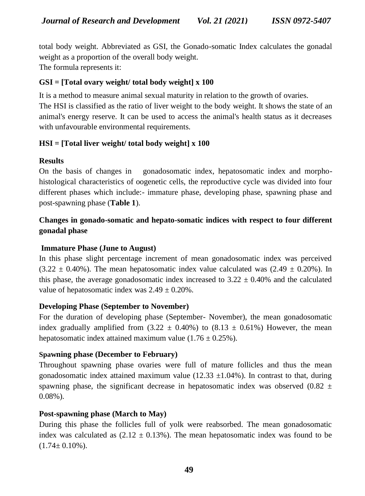total body weight. Abbreviated as GSI, the Gonado-somatic Index calculates the gonadal weight as a proportion of the overall body weight. The formula represents it:

## **GSI = [Total ovary weight/ total body weight] x 100**

It is a method to measure animal sexual maturity in relation to the growth of ovaries.

The HSI is classified as the ratio of liver weight to the body weight. It shows the state of an animal's energy reserve. It can be used to access the animal's health status as it decreases with unfavourable environmental requirements.

# **HSI = [Total liver weight/ total body weight] x 100**

## **Results**

On the basis of changes in gonadosomatic index, hepatosomatic index and morphohistological characteristics of oogenetic cells, the reproductive cycle was divided into four different phases which include:- immature phase, developing phase, spawning phase and post-spawning phase (**Table 1**).

# **Changes in gonado-somatic and hepato-somatic indices with respect to four different gonadal phase**

## **Immature Phase (June to August)**

In this phase slight percentage increment of mean gonadosomatic index was perceived  $(3.22 \pm 0.40\%)$ . The mean hepatosomatic index value calculated was  $(2.49 \pm 0.20\%)$ . In this phase, the average gonadosomatic index increased to  $3.22 \pm 0.40\%$  and the calculated value of hepatosomatic index was  $2.49 \pm 0.20\%$ .

## **Developing Phase (September to November)**

For the duration of developing phase (September- November), the mean gonadosomatic index gradually amplified from  $(3.22 \pm 0.40\%)$  to  $(8.13 \pm 0.61\%)$  However, the mean hepatosomatic index attained maximum value  $(1.76 \pm 0.25\%)$ .

## **Spawning phase (December to February)**

Throughout spawning phase ovaries were full of mature follicles and thus the mean gonadosomatic index attained maximum value (12.33  $\pm$ 1.04%). In contrast to that, during spawning phase, the significant decrease in hepatosomatic index was observed (0.82  $\pm$ 0.08%).

## **Post-spawning phase (March to May)**

During this phase the follicles full of yolk were reabsorbed. The mean gonadosomatic index was calculated as  $(2.12 \pm 0.13\%)$ . The mean hepatosomatic index was found to be  $(1.74 \pm 0.10\%)$ .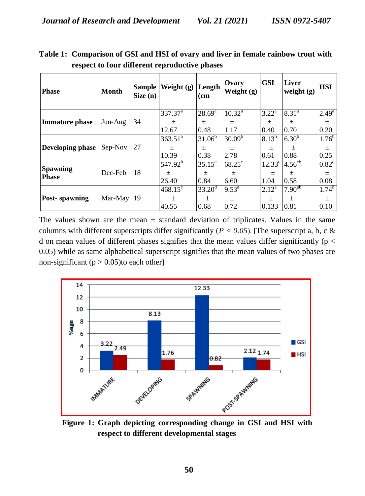| <b>Phase</b>                    | <b>Month</b> | <b>Sample</b><br>Size(n) | Weight $(g)$ Length | (cm                    | Ovary<br>Weight $(g)$ | <b>GSI</b>            | <b>Liver</b><br>weight $(g)$      | <b>HSI</b>     |
|---------------------------------|--------------|--------------------------|---------------------|------------------------|-----------------------|-----------------------|-----------------------------------|----------------|
| <b>Immature phase</b>           | Jun-Aug      |                          | 337.37 <sup>a</sup> | $28.69^{\rm a}$        | $10.32^a$             | $3.22^a$              | $8.31^{a}$                        | $2.49^{a}$     |
|                                 |              | 34                       | $+$                 | 土                      | 土                     | $+$                   | 土                                 | $\pm$          |
|                                 |              |                          | 12.67               | 0.48                   | 1.17                  | 0.40                  | 0.70                              | 0.20           |
| Developing phase                | Sep-Nov      |                          | $363.51^a$          | $31.06^{\overline{b}}$ | $30.09^{b}$           | $8.13^{b}$            | $6.30^{6}$                        | $1.76^{b}$     |
|                                 |              | 27                       | 土                   | $\pm$                  | $\pm$                 | $+$                   | $\pm$                             | $\pm$          |
|                                 |              |                          | 10.39               | 0.38                   | 2.78                  | 0.61                  | 0.88                              | 0.25           |
| <b>Spawning</b><br><b>Phase</b> | Dec-Feb      |                          | $547.92^b$          | $35.15^{\circ}$        | $68.25^{\circ}$       | 12.33 <sup>c</sup>    | $4.56^{\overline{c}\overline{b}}$ | $0.82^{\circ}$ |
|                                 |              | 18                       | 土                   | 土                      | $\pm$                 | $\pm$                 | 土                                 | $\pm$          |
|                                 |              |                          | 26.40               | 0.84                   | 6.60                  | 1.04                  | 0.58                              | 0.08           |
| <b>Post-spawning</b>            | Mar-May      |                          | $468.15^{\circ}$    | $33.20^{\rm d}$        | $9.53^{\text{a}}$     | $2.12^{\overline{a}}$ | $7.90^{ab}$                       | $1.74^{b}$     |
|                                 |              | 19                       | 土                   | 土                      | $\pm$                 | 土                     | 土                                 | $\pm$          |
|                                 |              |                          | 40.55               | 0.68                   | 0.72                  | 0.133                 | 0.81                              | 0.10           |

**Table 1: Comparison of GSI and HSI of ovary and liver in female rainbow trout with respect to four different reproductive phases**

The values shown are the mean  $\pm$  standard deviation of triplicates. Values in the same columns with different superscripts differ significantly ( $P < 0.05$ ). [The superscript a, b, c & d on mean values of different phases signifies that the mean values differ significantly ( $p <$ 0.05) while as same alphabetical superscript signifies that the mean values of two phases are non-significant ( $p > 0.05$ )to each other



**Figure 1: Graph depicting corresponding change in GSI and HSI with respect to different developmental stages**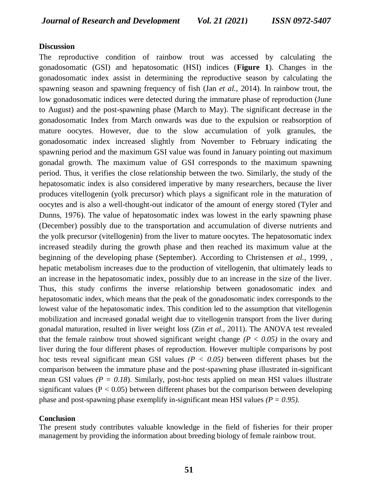#### **Discussion**

The reproductive condition of rainbow trout was accessed by calculating the gonadosomatic (GSI) and hepatosomatic (HSI) indices (**Figure 1**). Changes in the gonadosomatic index assist in determining the reproductive season by calculating the spawning season and spawning frequency of fish (Jan *et al.,* 2014). In rainbow trout, the low gonadosomatic indices were detected during the immature phase of reproduction (June to August) and the post-spawning phase (March to May). The significant decrease in the gonadosomatic Index from March onwards was due to the expulsion or reabsorption of mature oocytes. However, due to the slow accumulation of yolk granules, the gonadosomatic index increased slightly from November to February indicating the spawning period and the maximum GSI value was found in January pointing out maximum gonadal growth. The maximum value of GSI corresponds to the maximum spawning period. Thus, it verifies the close relationship between the two. Similarly, the study of the hepatosomatic index is also considered imperative by many researchers, because the liver produces vitellogenin (yolk precursor) which plays a significant role in the maturation of oocytes and is also a well-thought-out indicator of the amount of energy stored (Tyler and Dunns, 1976). The value of hepatosomatic index was lowest in the early spawning phase (December) possibly due to the transportation and accumulation of diverse nutrients and the yolk precursor (vitellogenin) from the liver to mature oocytes. The hepatosomatic index increased steadily during the growth phase and then reached its maximum value at the beginning of the developing phase (September). According to Christensen *et al.,* 1999, , hepatic metabolism increases due to the production of vitellogenin, that ultimately leads to an increase in the hepatosomatic index, possibly due to an increase in the size of the liver. Thus, this study confirms the inverse relationship between gonadosomatic index and hepatosomatic index, which means that the peak of the gonadosomatic index corresponds to the lowest value of the hepatosomatic index. This condition led to the assumption that vitellogenin mobilization and increased gonadal weight due to vitellogenin transport from the liver during gonadal maturation, resulted in liver weight loss (Zin *et al.,* 2011). The ANOVA test revealed that the female rainbow trout showed significant weight change  $(P < 0.05)$  in the ovary and liver during the four different phases of reproduction. However multiple comparisons by post hoc tests reveal significant mean GSI values  $(P < 0.05)$  between different phases but the comparison between the immature phase and the post-spawning phase illustrated in-significant mean GSI values  $(P = 0.18)$ . Similarly, post-hoc tests applied on mean HSI values illustrate significant values ( $P < 0.05$ ) between different phases but the comparison between developing phase and post-spawning phase exemplify in-significant mean HSI values  $(P = 0.95)$ .

#### **Conclusion**

The present study contributes valuable knowledge in the field of fisheries for their proper management by providing the information about breeding biology of female rainbow trout.